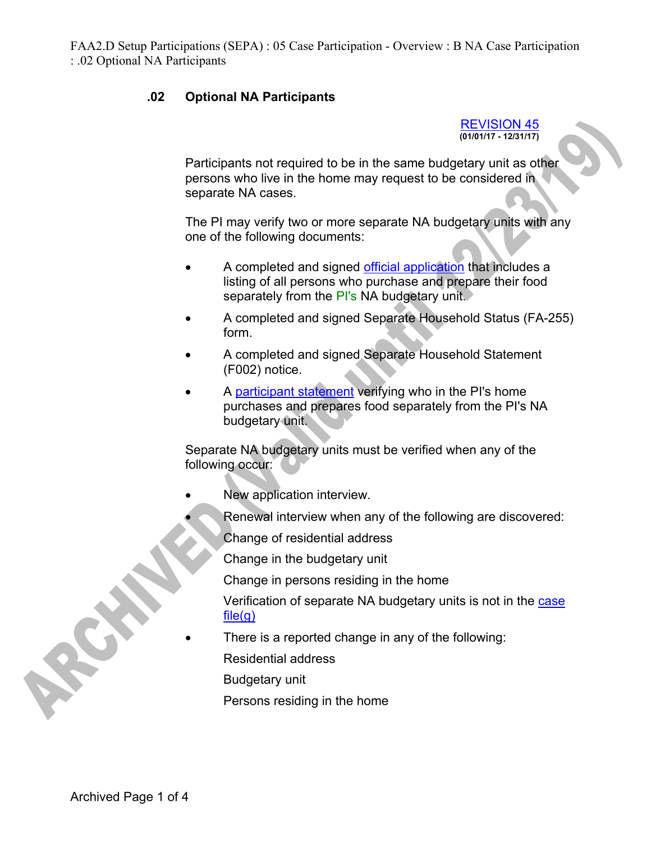## **.02 Optional NA Participants**

REVISION 45 **(01/01/17 - 12/31/17)** 

Participants not required to be in the same budgetary unit as other persons who live in the home may request to be considered in separate NA cases.

The PI may verify two or more separate NA budgetary units with any one of the following documents:

- A completed and signed official application that includes a listing of all persons who purchase and prepare their food separately from the PI's NA budgetary unit.
- A completed and signed Separate Household Status (FA-255) form.
- A completed and signed Separate Household Statement (F002) notice.
- A participant statement verifying who in the PI's home purchases and prepares food separately from the PI's NA budgetary unit.

Separate NA budgetary units must be verified when any of the following occur:

- New application interview.
	- Renewal interview when any of the following are discovered:
		- Change of residential address
		- Change in the budgetary unit

Change in persons residing in the home

Verification of separate NA budgetary units is not in the case  $file(q)$ 

There is a reported change in any of the following:

Residential address

Budgetary unit

Persons residing in the home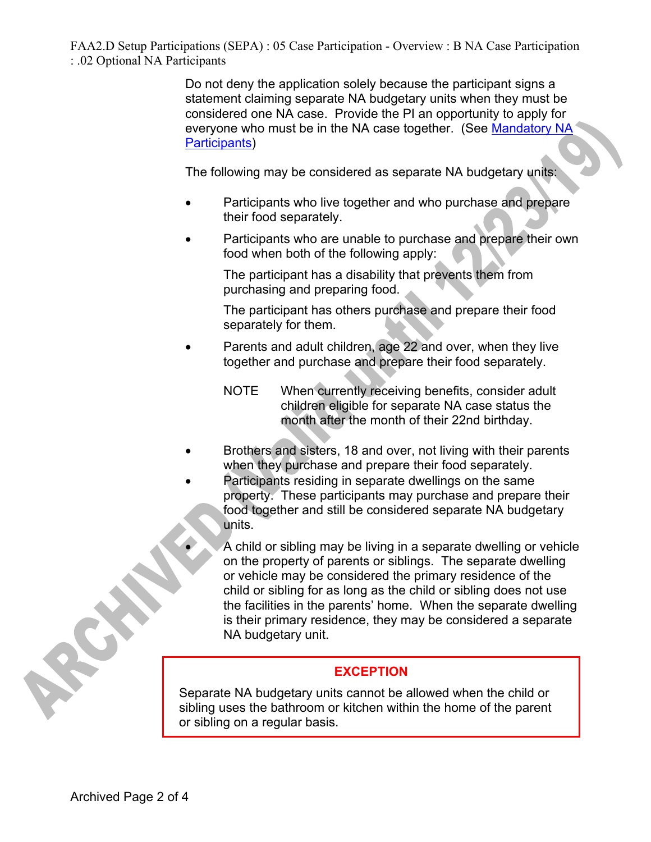> Do not deny the application solely because the participant signs a statement claiming separate NA budgetary units when they must be considered one NA case. Provide the PI an opportunity to apply for everyone who must be in the NA case together. (See Mandatory NA Participants)

The following may be considered as separate NA budgetary units:

- Participants who live together and who purchase and prepare their food separately.
- Participants who are unable to purchase and prepare their own food when both of the following apply:

The participant has a disability that prevents them from purchasing and preparing food.

The participant has others purchase and prepare their food separately for them.

- Parents and adult children, age 22 and over, when they live together and purchase and prepare their food separately.
	- NOTE When currently receiving benefits, consider adult children eligible for separate NA case status the month after the month of their 22nd birthday.
- Brothers and sisters, 18 and over, not living with their parents when they purchase and prepare their food separately.
	- Participants residing in separate dwellings on the same property. These participants may purchase and prepare their food together and still be considered separate NA budgetary units.

 A child or sibling may be living in a separate dwelling or vehicle on the property of parents or siblings. The separate dwelling or vehicle may be considered the primary residence of the child or sibling for as long as the child or sibling does not use the facilities in the parents' home. When the separate dwelling is their primary residence, they may be considered a separate NA budgetary unit.

## **EXCEPTION**

Separate NA budgetary units cannot be allowed when the child or sibling uses the bathroom or kitchen within the home of the parent or sibling on a regular basis.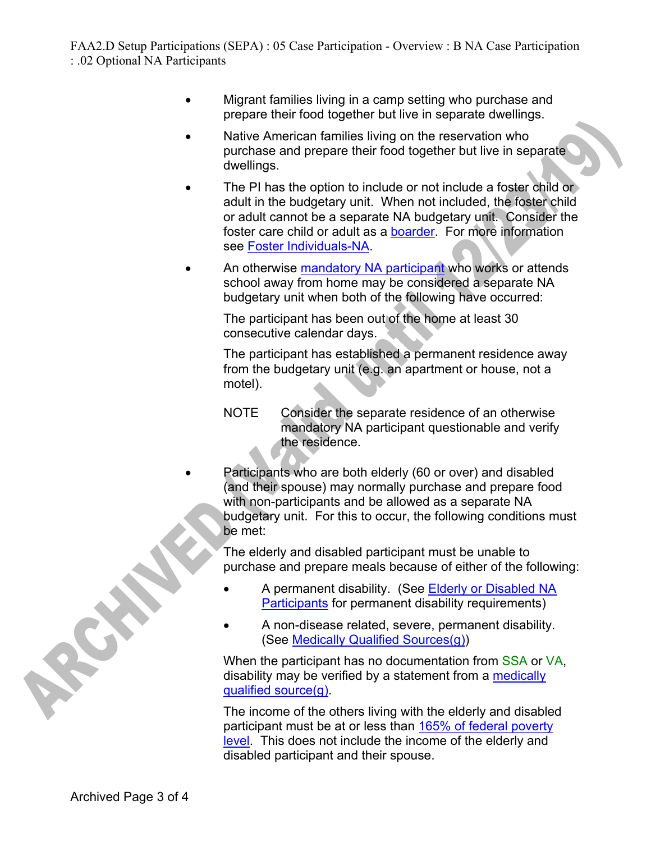- Migrant families living in a camp setting who purchase and prepare their food together but live in separate dwellings.
- Native American families living on the reservation who purchase and prepare their food together but live in separate dwellings.
- The PI has the option to include or not include a foster child or adult in the budgetary unit. When not included, the foster child or adult cannot be a separate NA budgetary unit. Consider the foster care child or adult as a boarder. For more information see Foster Individuals-NA.
- An otherwise mandatory NA participant who works or attends school away from home may be considered a separate NA budgetary unit when both of the following have occurred:

The participant has been out of the home at least 30 consecutive calendar days.

The participant has established a permanent residence away from the budgetary unit (e.g. an apartment or house, not a motel).

- NOTE Consider the separate residence of an otherwise mandatory NA participant questionable and verify the residence.
- Participants who are both elderly (60 or over) and disabled (and their spouse) may normally purchase and prepare food with non-participants and be allowed as a separate NA budgetary unit. For this to occur, the following conditions must be met:

The elderly and disabled participant must be unable to purchase and prepare meals because of either of the following:

- A permanent disability. (See Elderly or Disabled NA Participants for permanent disability requirements)
- A non-disease related, severe, permanent disability. (See Medically Qualified Sources(g))

When the participant has no documentation from SSA or VA, disability may be verified by a statement from a medically qualified source(g).

The income of the others living with the elderly and disabled participant must be at or less than 165% of federal poverty level. This does not include the income of the elderly and disabled participant and their spouse.